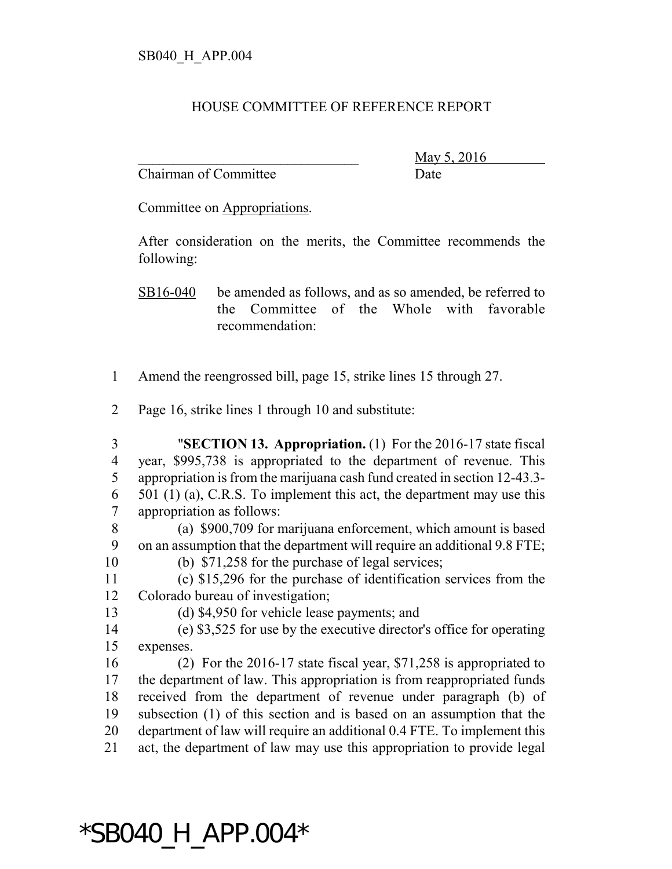## HOUSE COMMITTEE OF REFERENCE REPORT

Chairman of Committee Date

May 5, 2016

Committee on Appropriations.

After consideration on the merits, the Committee recommends the following:

SB16-040 be amended as follows, and as so amended, be referred to the Committee of the Whole with favorable recommendation:

- Amend the reengrossed bill, page 15, strike lines 15 through 27.
- Page 16, strike lines 1 through 10 and substitute:
- "**SECTION 13. Appropriation.** (1) For the 2016-17 state fiscal year, \$995,738 is appropriated to the department of revenue. This appropriation is from the marijuana cash fund created in section 12-43.3- 501 (1) (a), C.R.S. To implement this act, the department may use this appropriation as follows:
- (a) \$900,709 for marijuana enforcement, which amount is based on an assumption that the department will require an additional 9.8 FTE;
- (b) \$71,258 for the purchase of legal services;
- (c) \$15,296 for the purchase of identification services from the Colorado bureau of investigation;
- 

(d) \$4,950 for vehicle lease payments; and

 (e) \$3,525 for use by the executive director's office for operating expenses.

 (2) For the 2016-17 state fiscal year, \$71,258 is appropriated to the department of law. This appropriation is from reappropriated funds received from the department of revenue under paragraph (b) of subsection (1) of this section and is based on an assumption that the department of law will require an additional 0.4 FTE. To implement this act, the department of law may use this appropriation to provide legal

## \*SB040\_H\_APP.004\*